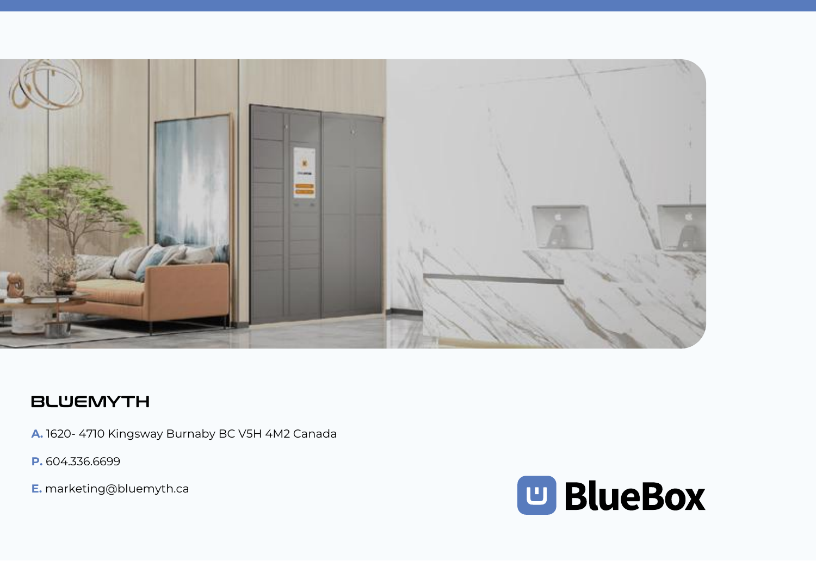

### **BLUEMYTH**

- A. 1620- 4710 Kingsway Burnaby BC V5H 4M2 Canada
- P. 604.336.6699
- E. marketing@bluemyth.ca

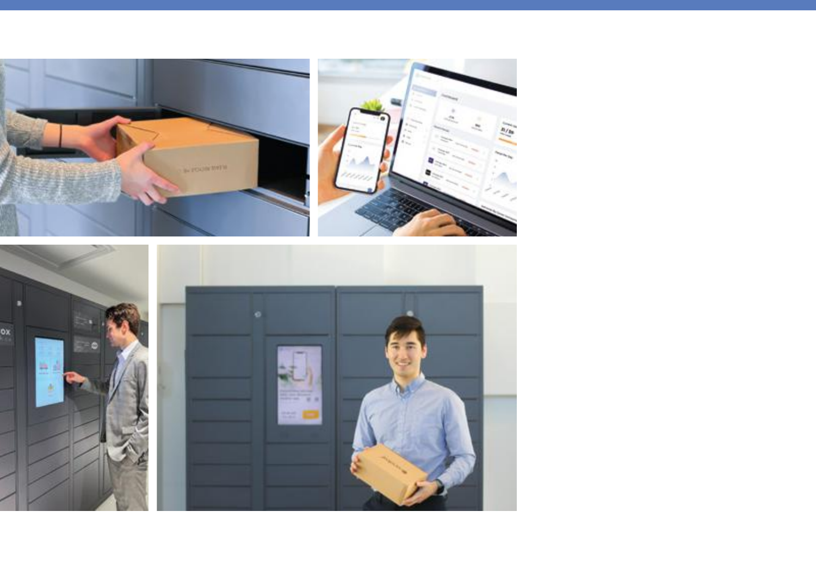

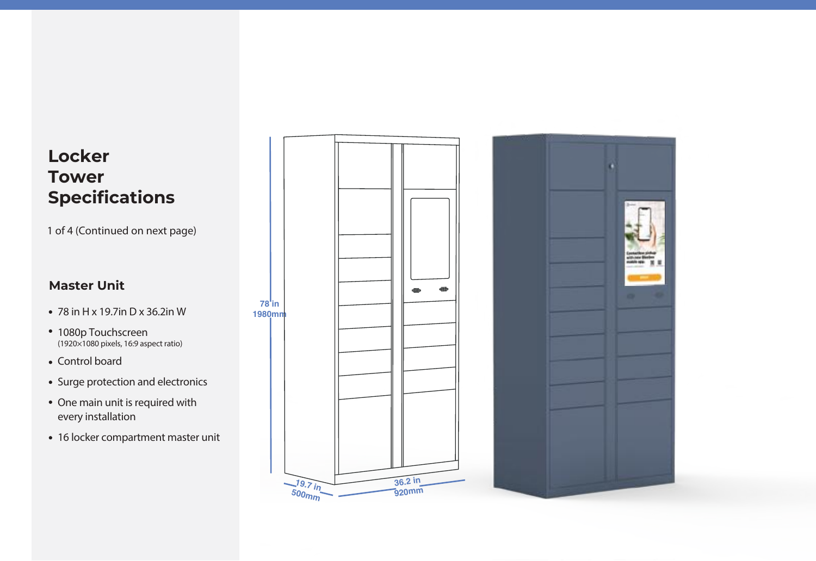1 of 4 (Continued on next page)

#### Master Unit

- 78 in H x 19.7in D x 36.2in W
- 1080p Touchscreen (1920×1080 pixels, 16:9 aspect ratio)
- Control board
- Surge protection and electronics
- One main unit is required with every installation
- 16 locker compartment master unit



**78 in**

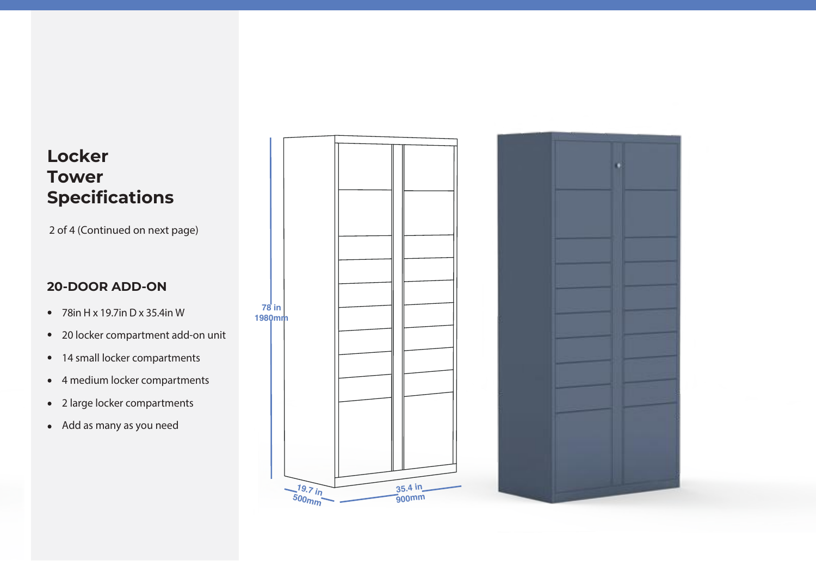2 of 4 (Continued on next page)

#### 20-DOOR ADD-ON

- $\bullet$  78in H x 19.7in D x 35.4in W
- 20 locker compartment add-on unit
- 14 small locker compartments
- 4 medium locker compartments
- 2 large locker compartments
- Add as many as you need



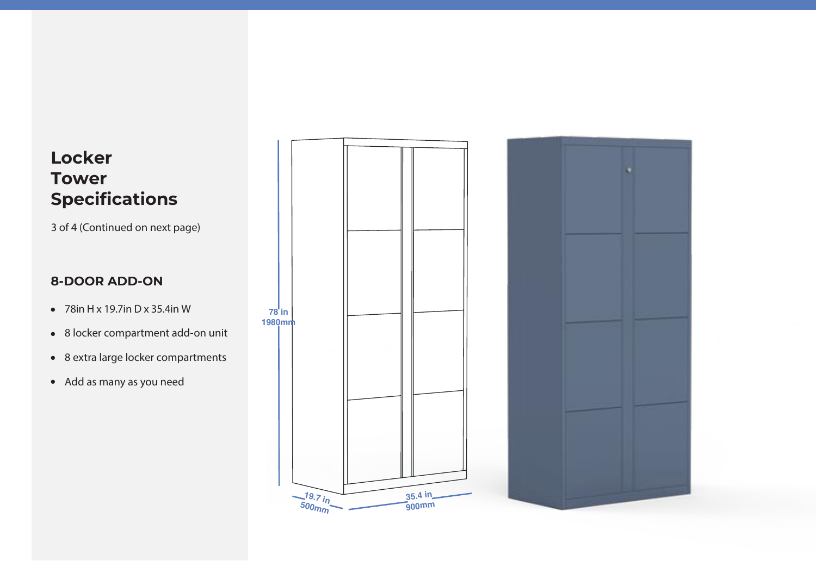3 of 4 (Continued on next page)

#### 8-DOOR ADD-ON

- $\bullet$  78in H x 19.7in D x 35.4in W
- 8 locker compartment add-on unit
- 8 extra large locker compartments
- Add as many as you need



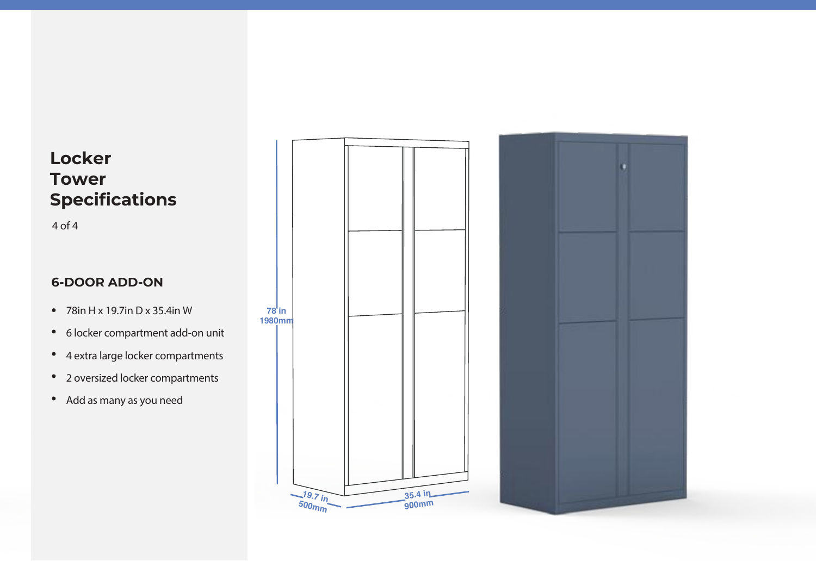4 of 4

#### 6-DOOR ADD-ON

- 78in H x 19.7in D x 35.4in W
- 6 locker compartment add-on unit
- 4 extra large locker compartments
- 2 oversized locker compartments
- Add as many as you need

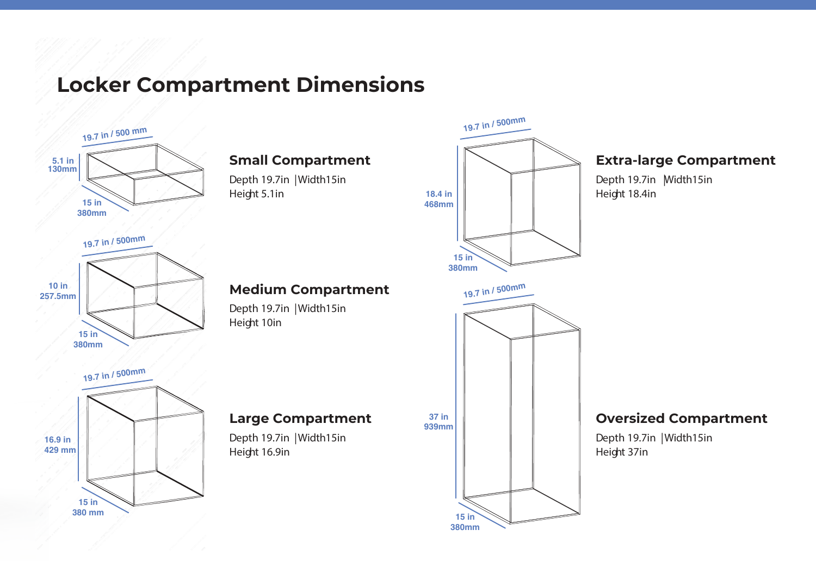## Locker Compartment Dimensions



# Small Compartment

Depth 19.7in | Width 15in Height 5.1in



#### Extra-large Compartment

Depth 19.7in Midth 15in Height 18.4in



### **Medium Compartment 19.7** in / 500mm

Depth 19.7in | Width 15in Height 10in



#### Large Compartment

Depth 19.7in | Width 15in Height 16.9in



### Oversized Compartment

Depth 19.7in | Width 15in Height 37in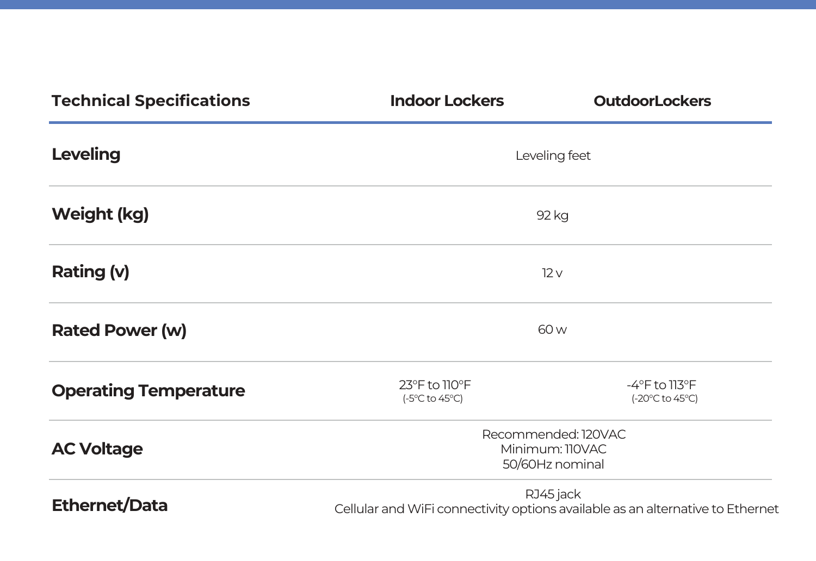| <b>Technical Specifications</b> | <b>Indoor Lockers</b>                                                                       | <b>OutdoorLockers</b>                            |
|---------------------------------|---------------------------------------------------------------------------------------------|--------------------------------------------------|
| <b>Leveling</b>                 | Leveling feet                                                                               |                                                  |
| Weight (kg)                     | 92 kg                                                                                       |                                                  |
| Rating (v)                      | 12 <sub>V</sub>                                                                             |                                                  |
| <b>Rated Power (w)</b>          | 60 w                                                                                        |                                                  |
| <b>Operating Temperature</b>    | 23°F to 110°F<br>(-5°C to 45°C)                                                             | $-4^\circ$ F to 113 $\circ$ F<br>(-20°C to 45°C) |
| <b>AC Voltage</b>               | Recommended: 120VAC<br>Minimum: 110VAC<br>50/60Hz nominal                                   |                                                  |
| <b>Ethernet/Data</b>            | RJ45 jack<br>Cellular and WiFi connectivity options available as an alternative to Ethernet |                                                  |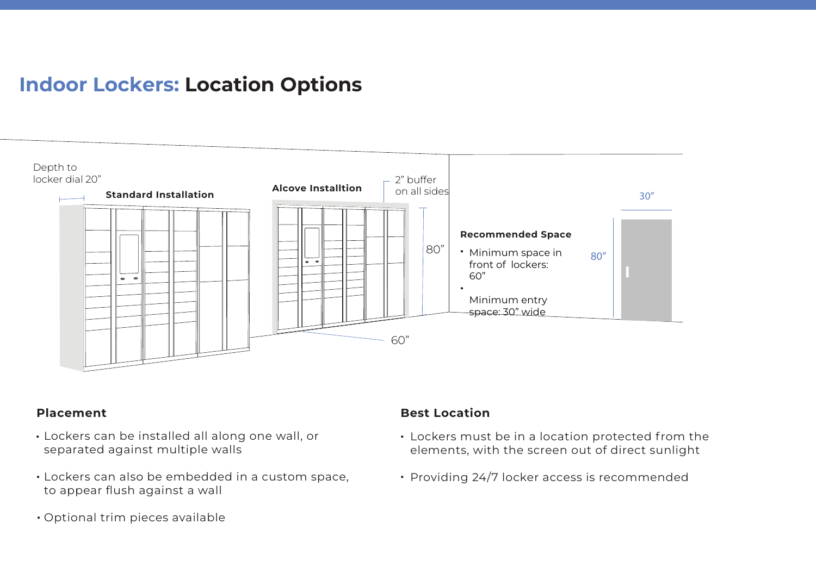### Indoor Lockers: Location Options



#### Placement

- Lockers can be installed all along one wall, or separated against multiple walls
- Lockers can also be embedded in a custom space, to appear flush against a wall
- Optional trim pieces available

#### Best Location

- Lockers must be in a location protected from the elements, with the screen out of direct sunlight
- Providing 24/7 locker access is recommended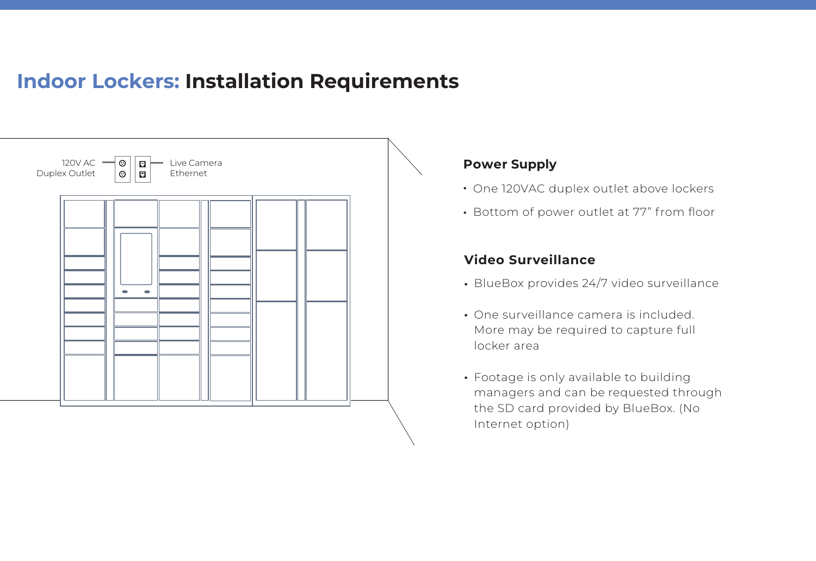### **Indoor Lockers: Installation Requirements**



#### **Power Supply**

- One 120VAC duplex outlet above lockers
- Bottom of power outlet at 77" from floor

#### Video Surveillance

- · BlueBox provides 24/7 video surveillance
- One surveillance camera is included More may be required to capture full locker area
- Footage is only available to building managers and can be requested through the SD card provided by BlueBox. (No Internet option)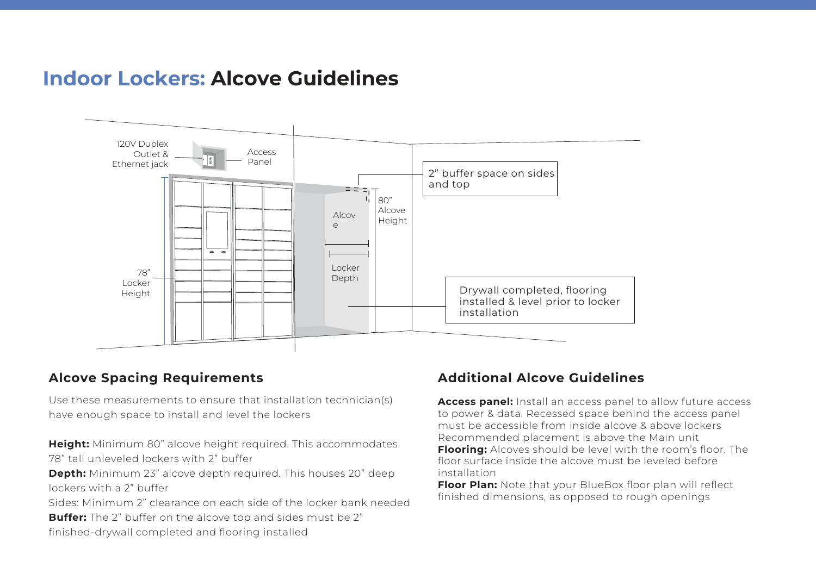### Indoor Lockers: Alcove Guidelines



#### Alcove Spacing Requirements

Use these measurements to ensure that installation technician(s) have enough space to install and level the lockers

Height: Minimum 80" alcove height required. This accommodates 78" tall unleveled lockers with 2" buffer

Depth: Minimum 23" alcove depth required. This houses 20" deep lockers with a 2" buffer

Sides: Minimum 2" clearance on each side of the locker bank needed **Buffer:** The 2" buffer on the alcove top and sides must be 2"

finished-drywall completed and flooring installed

#### Additional Alcove Guidelines

Access panel: Install an access panel to allow future access to power & data. Recessed space behind the access panel must be accessible from inside alcove & above lockers Recommended placement is above the Main unit

Flooring: Alcoves should be level with the room's floor. The floor surface inside the alcove must be leveled before installation

**Floor Plan:** Note that your BlueBox floor plan will reflect finished dimensions, as opposed to rough openings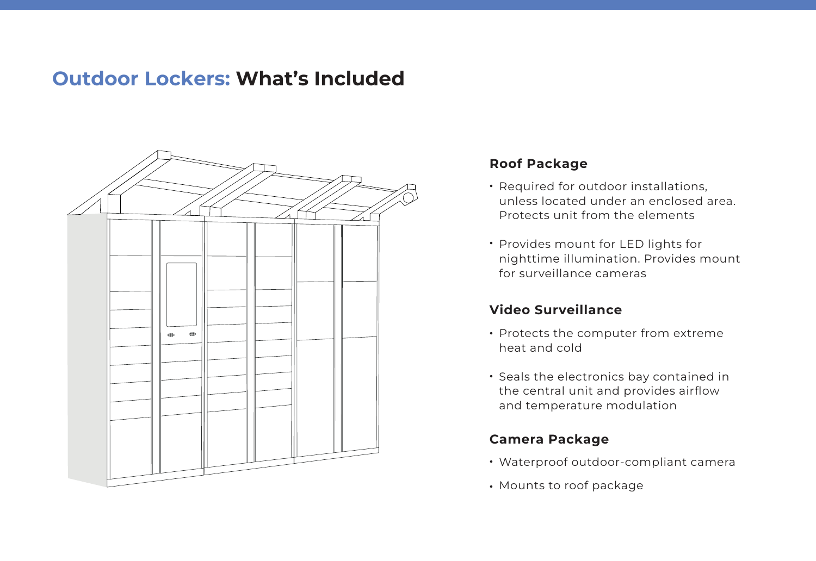### Outdoor Lockers: What's Included



#### Roof Package

- Required for outdoor installations, unless located under an enclosed area. Protects unit from the elements
- Provides mount for LED lights for nighttime illumination. Provides mount for surveillance cameras

#### Video Surveillance

- Protects the computer from extreme heat and cold
- Seals the electronics bay contained in the central unit and provides airflow and temperature modulation

#### Camera Package

- Waterproof outdoor-compliant camera •
- Mounts to roof package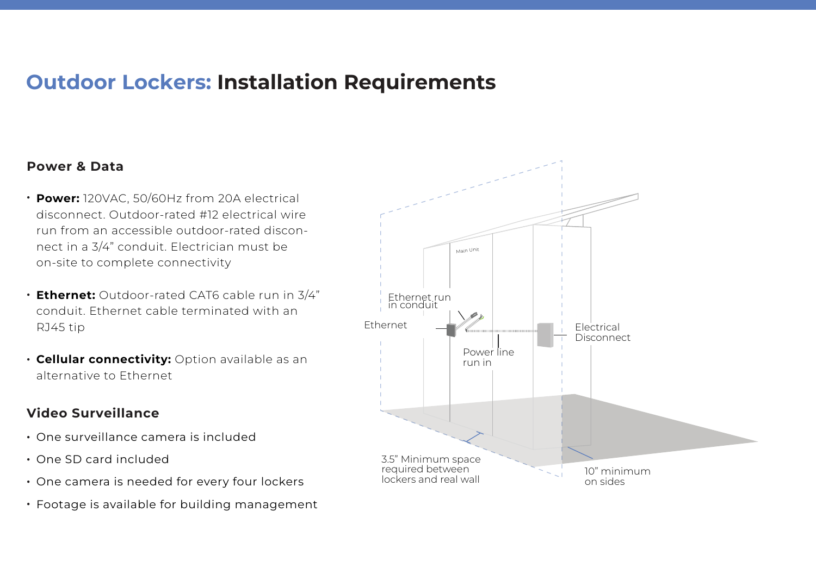### Outdoor Lockers: Installation Requirements

#### Power & Data

- Power: 120VAC, 50/60Hz from 20A electrical disconnect. Outdoor-rated #12 electrical wire run from an accessible outdoor-rated disconnect in a 3/4" conduit. Electrician must be on-site to complete connectivity
- Ethernet: Outdoor-rated CAT6 cable run in 3/4" conduit. Ethernet cable terminated with an RJ45 tip
- **Cellular connectivity:** Option available as an alternative to Ethernet

#### Video Surveillance

- One surveillance camera is included
- One SD card included
- One camera is needed for every four lockers
- Footage is available for building management

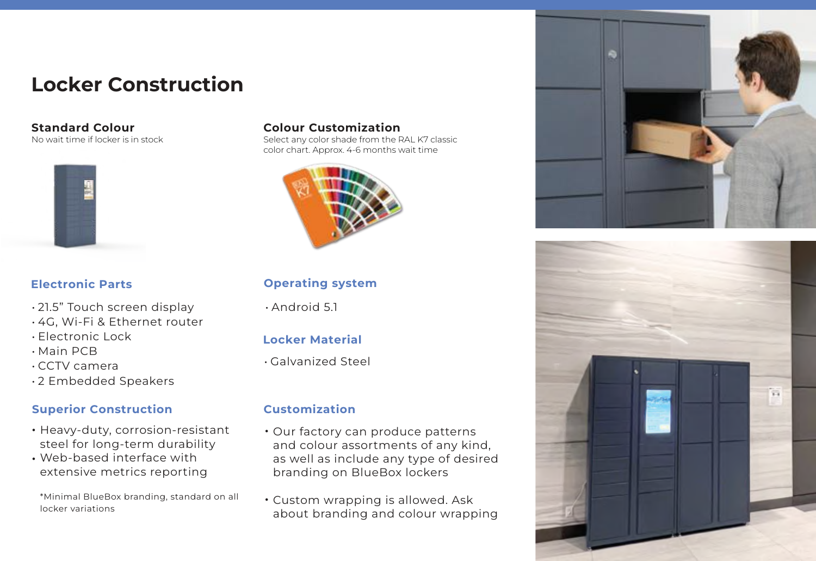### Locker Construction



- 21.5" Touch screen display
- 4G, Wi-Fi & Ethernet router
- Electronic Lock
- Main PCB
- CCTV camera
- 2 Embedded Speakers

#### Superior Construction

- Heavy-duty, corrosion-resistant steel for long-term durability
- Web-based interface with extensive metrics reporting

\*Minimal BlueBox branding, standard on all locker variations

#### Standard Colour Colour Customization

No wait time if locker is in stock Select any color shade from the RAL K7 classic color chart. Approx. 4-6 months wait time



#### Electronic Parts Operating system

• Android 5.1

#### Locker Material

• Galvanized Steel

#### Customization

- Our factory can produce patterns and colour assortments of any kind, as well as include any type of desired branding on BlueBox lockers
- Custom wrapping is allowed. Ask about branding and colour wrapping



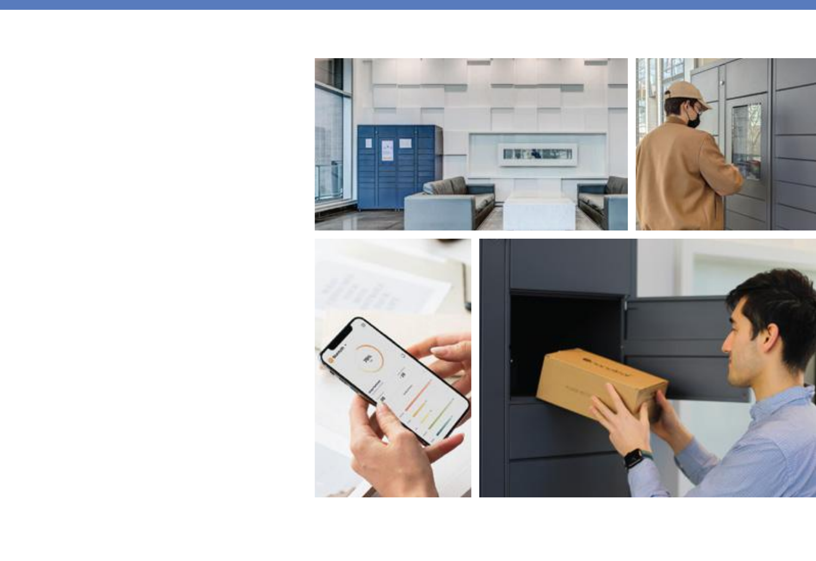